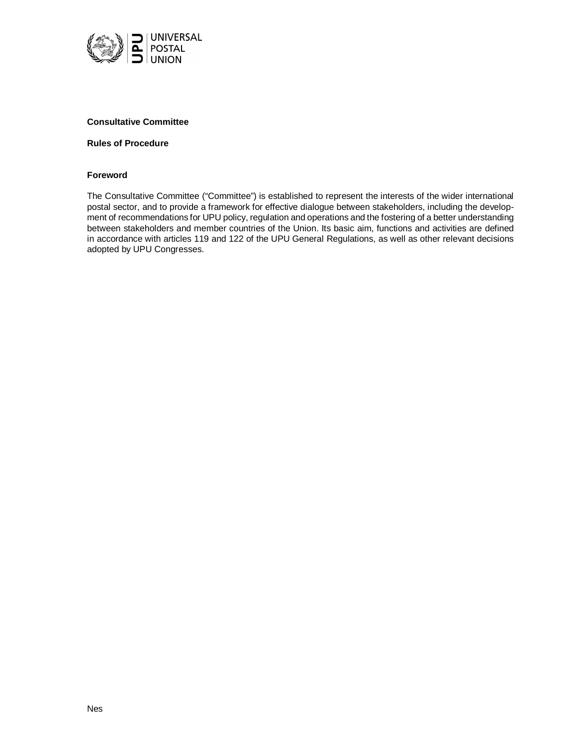

## **Consultative Committee**

#### **Rules of Procedure**

#### **Foreword**

The Consultative Committee ("Committee") is established to represent the interests of the wider international postal sector, and to provide a framework for effective dialogue between stakeholders, including the development of recommendations for UPU policy, regulation and operations and the fostering of a better understanding between stakeholders and member countries of the Union. Its basic aim, functions and activities are defined in accordance with articles 119 and 122 of the UPU General Regulations, as well as other relevant decisions adopted by UPU Congresses.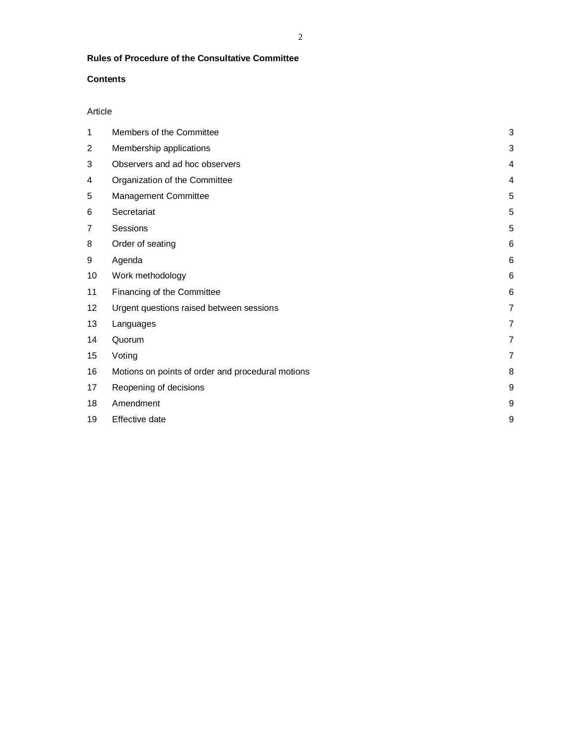# **Rules of Procedure of the Consultative Committee**

## **Contents**

## Article

| 1  | Members of the Committee                          | 3              |
|----|---------------------------------------------------|----------------|
| 2  | Membership applications                           | 3              |
| 3  | Observers and ad hoc observers                    | 4              |
| 4  | Organization of the Committee                     | 4              |
| 5  | Management Committee                              | 5              |
| 6  | Secretariat                                       | 5              |
| 7  | Sessions                                          | 5              |
| 8  | Order of seating                                  | 6              |
| 9  | Agenda                                            | 6              |
| 10 | Work methodology                                  | 6              |
| 11 | Financing of the Committee                        | 6              |
| 12 | Urgent questions raised between sessions          | $\overline{7}$ |
| 13 | Languages                                         | $\overline{7}$ |
| 14 | Quorum                                            | $\overline{7}$ |
| 15 | Voting                                            | $\overline{7}$ |
| 16 | Motions on points of order and procedural motions | 8              |
| 17 | Reopening of decisions                            | 9              |
| 18 | Amendment                                         | 9              |
| 19 | Effective date                                    | 9              |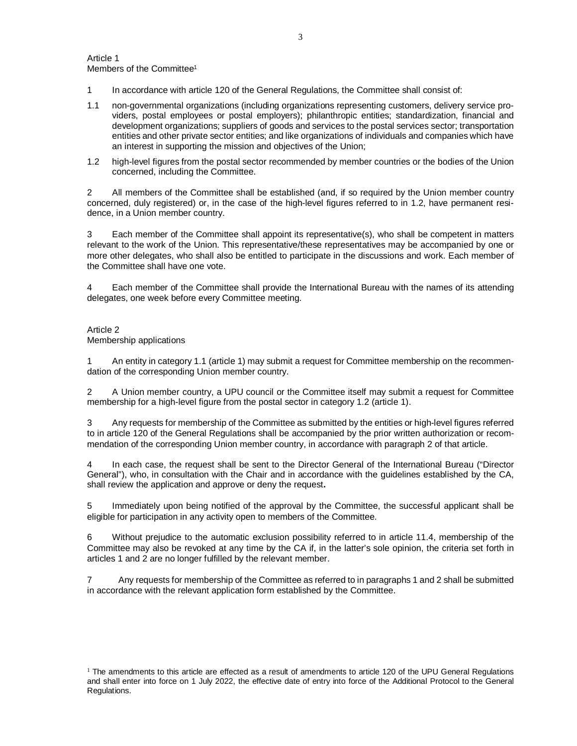- 1 In accordance with article 120 of the General Regulations, the Committee shall consist of:
- 1.1 non-governmental organizations (including organizations representing customers, delivery service providers, postal employees or postal employers); philanthropic entities; standardization, financial and development organizations; suppliers of goods and services to the postal services sector; transportation entities and other private sector entities; and like organizations of individuals and companies which have an interest in supporting the mission and objectives of the Union;
- 1.2 high-level figures from the postal sector recommended by member countries or the bodies of the Union concerned, including the Committee.

2 All members of the Committee shall be established (and, if so required by the Union member country concerned, duly registered) or, in the case of the high-level figures referred to in 1.2, have permanent residence, in a Union member country.

3 Each member of the Committee shall appoint its representative(s), who shall be competent in matters relevant to the work of the Union. This representative/these representatives may be accompanied by one or more other delegates, who shall also be entitled to participate in the discussions and work. Each member of the Committee shall have one vote.

4 Each member of the Committee shall provide the International Bureau with the names of its attending delegates, one week before every Committee meeting.

## Article 2 Membership applications

1 An entity in category 1.1 (article 1) may submit a request for Committee membership on the recommendation of the corresponding Union member country.

2 A Union member country, a UPU council or the Committee itself may submit a request for Committee membership for a high-level figure from the postal sector in category 1.2 (article 1).

3 Any requests for membership of the Committee as submitted by the entities or high-level figures referred to in article 120 of the General Regulations shall be accompanied by the prior written authorization or recommendation of the corresponding Union member country, in accordance with paragraph 2 of that article.

4 In each case, the request shall be sent to the Director General of the International Bureau ("Director General"), who, in consultation with the Chair and in accordance with the guidelines established by the CA, shall review the application and approve or deny the request**.**

5 Immediately upon being notified of the approval by the Committee, the successful applicant shall be eligible for participation in any activity open to members of the Committee.

6 Without prejudice to the automatic exclusion possibility referred to in article 11.4, membership of the Committee may also be revoked at any time by the CA if, in the latter's sole opinion, the criteria set forth in articles 1 and 2 are no longer fulfilled by the relevant member.

7 Any requests for membership of the Committee as referred to in paragraphs 1 and 2 shall be submitted in accordance with the relevant application form established by the Committee.

 $1$  The amendments to this article are effected as a result of amendments to article 120 of the UPU General Regulations and shall enter into force on 1 July 2022, the effective date of entry into force of the Additional Protocol to the General Regulations.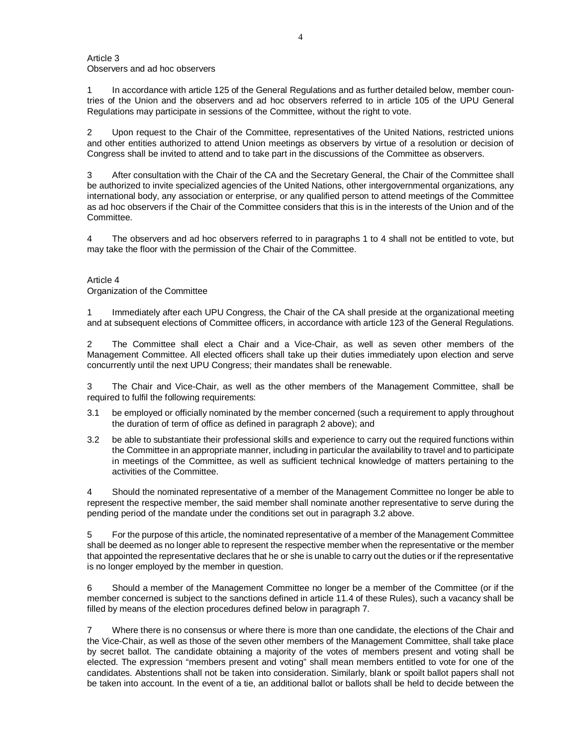Article 3 Observers and ad hoc observers

1 In accordance with article 125 of the General Regulations and as further detailed below, member countries of the Union and the observers and ad hoc observers referred to in article 105 of the UPU General Regulations may participate in sessions of the Committee, without the right to vote.

2 Upon request to the Chair of the Committee, representatives of the United Nations, restricted unions and other entities authorized to attend Union meetings as observers by virtue of a resolution or decision of Congress shall be invited to attend and to take part in the discussions of the Committee as observers.

3 After consultation with the Chair of the CA and the Secretary General, the Chair of the Committee shall be authorized to invite specialized agencies of the United Nations, other intergovernmental organizations, any international body, any association or enterprise, or any qualified person to attend meetings of the Committee as ad hoc observers if the Chair of the Committee considers that this is in the interests of the Union and of the **Committee.** 

4 The observers and ad hoc observers referred to in paragraphs 1 to 4 shall not be entitled to vote, but may take the floor with the permission of the Chair of the Committee.

### Article 4

Organization of the Committee

1 Immediately after each UPU Congress, the Chair of the CA shall preside at the organizational meeting and at subsequent elections of Committee officers, in accordance with article 123 of the General Regulations.

2 The Committee shall elect a Chair and a Vice-Chair, as well as seven other members of the Management Committee. All elected officers shall take up their duties immediately upon election and serve concurrently until the next UPU Congress; their mandates shall be renewable.

3 The Chair and Vice-Chair, as well as the other members of the Management Committee, shall be required to fulfil the following requirements:

- 3.1 be employed or officially nominated by the member concerned (such a requirement to apply throughout the duration of term of office as defined in paragraph 2 above); and
- 3.2 be able to substantiate their professional skills and experience to carry out the required functions within the Committee in an appropriate manner, including in particular the availability to travel and to participate in meetings of the Committee, as well as sufficient technical knowledge of matters pertaining to the activities of the Committee.

4 Should the nominated representative of a member of the Management Committee no longer be able to represent the respective member, the said member shall nominate another representative to serve during the pending period of the mandate under the conditions set out in paragraph 3.2 above.

5 For the purpose of this article, the nominated representative of a member of the Management Committee shall be deemed as no longer able to represent the respective member when the representative or the member that appointed the representative declares that he or she is unable to carry out the duties or if the representative is no longer employed by the member in question.

6 Should a member of the Management Committee no longer be a member of the Committee (or if the member concerned is subject to the sanctions defined in article 11.4 of these Rules), such a vacancy shall be filled by means of the election procedures defined below in paragraph 7.

7 Where there is no consensus or where there is more than one candidate, the elections of the Chair and the Vice-Chair, as well as those of the seven other members of the Management Committee, shall take place by secret ballot. The candidate obtaining a majority of the votes of members present and voting shall be elected. The expression "members present and voting" shall mean members entitled to vote for one of the candidates. Abstentions shall not be taken into consideration. Similarly, blank or spoilt ballot papers shall not be taken into account. In the event of a tie, an additional ballot or ballots shall be held to decide between the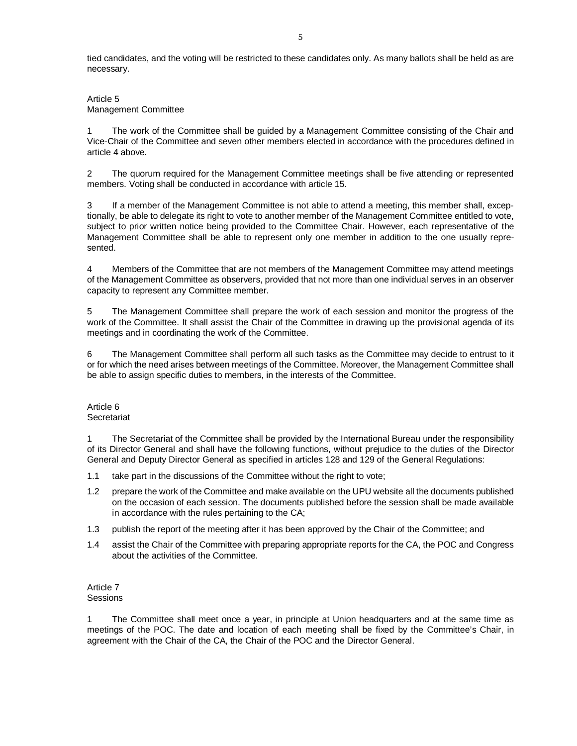tied candidates, and the voting will be restricted to these candidates only. As many ballots shall be held as are necessary.

### Article 5 Management Committee

1 The work of the Committee shall be guided by a Management Committee consisting of the Chair and Vice-Chair of the Committee and seven other members elected in accordance with the procedures defined in article 4 above.

2 The quorum required for the Management Committee meetings shall be five attending or represented members. Voting shall be conducted in accordance with article 15.

3 If a member of the Management Committee is not able to attend a meeting, this member shall, exceptionally, be able to delegate its right to vote to another member of the Management Committee entitled to vote, subject to prior written notice being provided to the Committee Chair. However, each representative of the Management Committee shall be able to represent only one member in addition to the one usually represented.

4 Members of the Committee that are not members of the Management Committee may attend meetings of the Management Committee as observers, provided that not more than one individual serves in an observer capacity to represent any Committee member.

5 The Management Committee shall prepare the work of each session and monitor the progress of the work of the Committee. It shall assist the Chair of the Committee in drawing up the provisional agenda of its meetings and in coordinating the work of the Committee.

6 The Management Committee shall perform all such tasks as the Committee may decide to entrust to it or for which the need arises between meetings of the Committee. Moreover, the Management Committee shall be able to assign specific duties to members, in the interests of the Committee.

### Article 6 **Secretariat**

1 The Secretariat of the Committee shall be provided by the International Bureau under the responsibility of its Director General and shall have the following functions, without prejudice to the duties of the Director General and Deputy Director General as specified in articles 128 and 129 of the General Regulations:

- 1.1 take part in the discussions of the Committee without the right to vote;
- 1.2 prepare the work of the Committee and make available on the UPU website all the documents published on the occasion of each session. The documents published before the session shall be made available in accordance with the rules pertaining to the CA;
- 1.3 publish the report of the meeting after it has been approved by the Chair of the Committee; and
- 1.4 assist the Chair of the Committee with preparing appropriate reports for the CA, the POC and Congress about the activities of the Committee.

#### Article 7 **Sessions**

1 The Committee shall meet once a year, in principle at Union headquarters and at the same time as meetings of the POC. The date and location of each meeting shall be fixed by the Committee's Chair, in agreement with the Chair of the CA, the Chair of the POC and the Director General.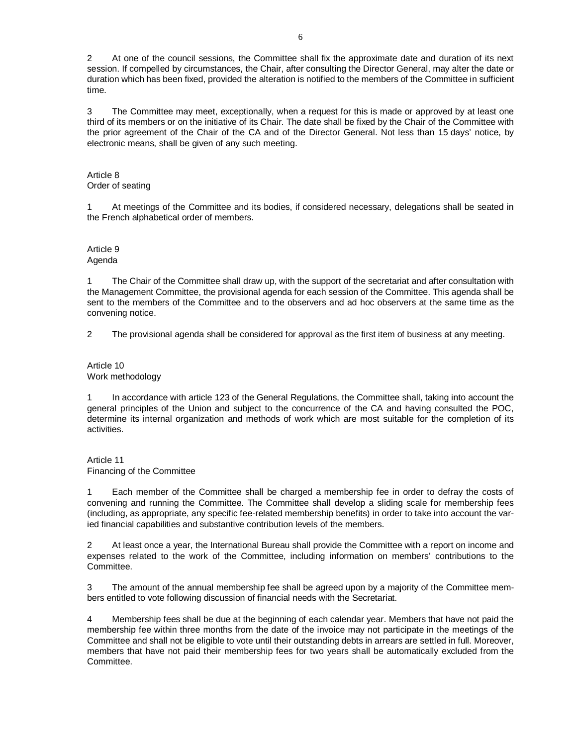2 At one of the council sessions, the Committee shall fix the approximate date and duration of its next session. If compelled by circumstances, the Chair, after consulting the Director General, may alter the date or duration which has been fixed, provided the alteration is notified to the members of the Committee in sufficient time.

3 The Committee may meet, exceptionally, when a request for this is made or approved by at least one third of its members or on the initiative of its Chair. The date shall be fixed by the Chair of the Committee with the prior agreement of the Chair of the CA and of the Director General. Not less than 15 days' notice, by electronic means, shall be given of any such meeting.

#### Article 8 Order of seating

1 At meetings of the Committee and its bodies, if considered necessary, delegations shall be seated in the French alphabetical order of members.

#### Article 9 Agenda

1 The Chair of the Committee shall draw up, with the support of the secretariat and after consultation with the Management Committee, the provisional agenda for each session of the Committee. This agenda shall be sent to the members of the Committee and to the observers and ad hoc observers at the same time as the convening notice.

2 The provisional agenda shall be considered for approval as the first item of business at any meeting.

## Article 10 Work methodology

1 In accordance with article 123 of the General Regulations, the Committee shall, taking into account the general principles of the Union and subject to the concurrence of the CA and having consulted the POC, determine its internal organization and methods of work which are most suitable for the completion of its activities.

Article 11 Financing of the Committee

1 Each member of the Committee shall be charged a membership fee in order to defray the costs of convening and running the Committee. The Committee shall develop a sliding scale for membership fees (including, as appropriate, any specific fee-related membership benefits) in order to take into account the varied financial capabilities and substantive contribution levels of the members.

2 At least once a year, the International Bureau shall provide the Committee with a report on income and expenses related to the work of the Committee, including information on members' contributions to the Committee.

3 The amount of the annual membership fee shall be agreed upon by a majority of the Committee members entitled to vote following discussion of financial needs with the Secretariat.

4 Membership fees shall be due at the beginning of each calendar year. Members that have not paid the membership fee within three months from the date of the invoice may not participate in the meetings of the Committee and shall not be eligible to vote until their outstanding debts in arrears are settled in full. Moreover, members that have not paid their membership fees for two years shall be automatically excluded from the Committee.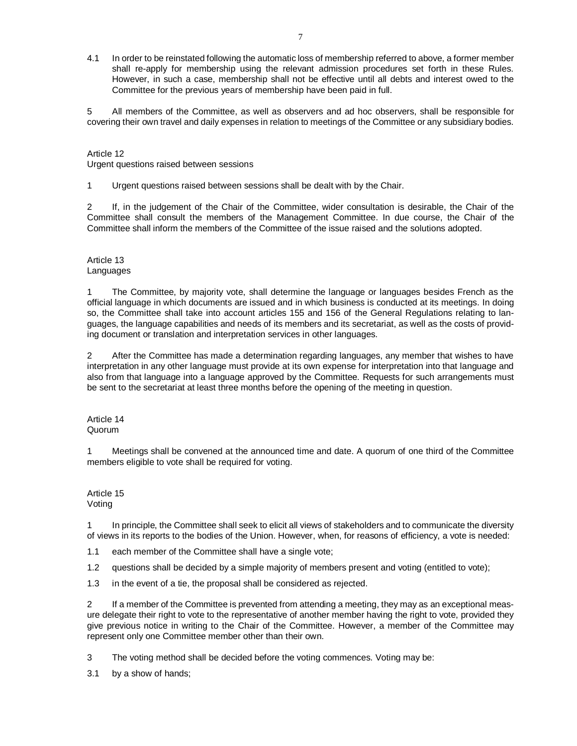4.1 In order to be reinstated following the automatic loss of membership referred to above, a former member shall re-apply for membership using the relevant admission procedures set forth in these Rules. However, in such a case, membership shall not be effective until all debts and interest owed to the Committee for the previous years of membership have been paid in full.

5 All members of the Committee, as well as observers and ad hoc observers, shall be responsible for covering their own travel and daily expenses in relation to meetings of the Committee or any subsidiary bodies.

#### Article 12

Urgent questions raised between sessions

1 Urgent questions raised between sessions shall be dealt with by the Chair.

2 If, in the judgement of the Chair of the Committee, wider consultation is desirable, the Chair of the Committee shall consult the members of the Management Committee. In due course, the Chair of the Committee shall inform the members of the Committee of the issue raised and the solutions adopted.

Article 13 Languages

1 The Committee, by majority vote, shall determine the language or languages besides French as the official language in which documents are issued and in which business is conducted at its meetings. In doing so, the Committee shall take into account articles 155 and 156 of the General Regulations relating to languages, the language capabilities and needs of its members and its secretariat, as well as the costs of providing document or translation and interpretation services in other languages.

2 After the Committee has made a determination regarding languages, any member that wishes to have interpretation in any other language must provide at its own expense for interpretation into that language and also from that language into a language approved by the Committee. Requests for such arrangements must be sent to the secretariat at least three months before the opening of the meeting in question.

Article 14 Quorum

1 Meetings shall be convened at the announced time and date. A quorum of one third of the Committee members eligible to vote shall be required for voting.

Article 15 Voting

1 In principle, the Committee shall seek to elicit all views of stakeholders and to communicate the diversity of views in its reports to the bodies of the Union. However, when, for reasons of efficiency, a vote is needed:

1.1 each member of the Committee shall have a single vote;

1.2 questions shall be decided by a simple majority of members present and voting (entitled to vote);

1.3 in the event of a tie, the proposal shall be considered as rejected.

2 If a member of the Committee is prevented from attending a meeting, they may as an exceptional measure delegate their right to vote to the representative of another member having the right to vote, provided they give previous notice in writing to the Chair of the Committee. However, a member of the Committee may represent only one Committee member other than their own.

3 The voting method shall be decided before the voting commences. Voting may be:

3.1 by a show of hands;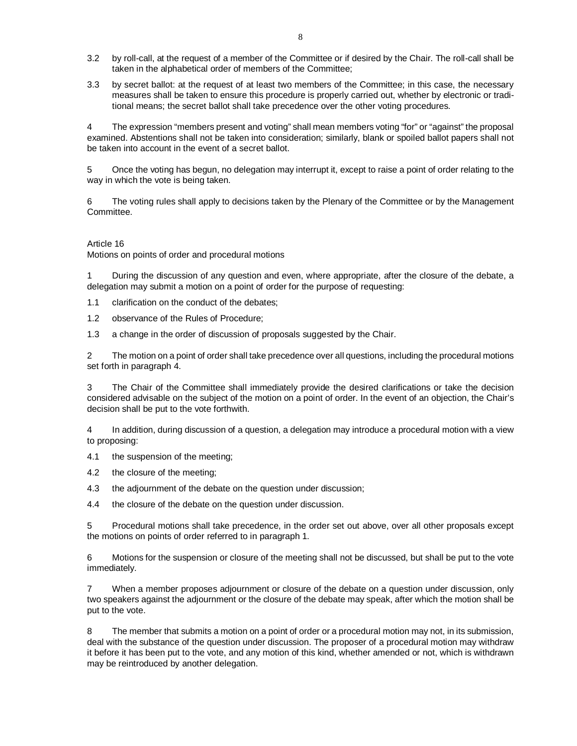- 3.2 by roll-call, at the request of a member of the Committee or if desired by the Chair. The roll-call shall be taken in the alphabetical order of members of the Committee;
- 3.3 by secret ballot: at the request of at least two members of the Committee; in this case, the necessary measures shall be taken to ensure this procedure is properly carried out, whether by electronic or traditional means; the secret ballot shall take precedence over the other voting procedures.

4 The expression "members present and voting" shall mean members voting "for" or "against" the proposal examined. Abstentions shall not be taken into consideration; similarly, blank or spoiled ballot papers shall not be taken into account in the event of a secret ballot.

5 Once the voting has begun, no delegation may interrupt it, except to raise a point of order relating to the way in which the vote is being taken.

6 The voting rules shall apply to decisions taken by the Plenary of the Committee or by the Management Committee.

#### Article 16

Motions on points of order and procedural motions

1 During the discussion of any question and even, where appropriate, after the closure of the debate, a delegation may submit a motion on a point of order for the purpose of requesting:

1.1 clarification on the conduct of the debates;

1.2 observance of the Rules of Procedure;

1.3 a change in the order of discussion of proposals suggested by the Chair.

2 The motion on a point of order shall take precedence over all questions, including the procedural motions set forth in paragraph 4.

3 The Chair of the Committee shall immediately provide the desired clarifications or take the decision considered advisable on the subject of the motion on a point of order. In the event of an objection, the Chair's decision shall be put to the vote forthwith.

4 In addition, during discussion of a question, a delegation may introduce a procedural motion with a view to proposing:

4.1 the suspension of the meeting;

4.2 the closure of the meeting;

4.3 the adjournment of the debate on the question under discussion;

4.4 the closure of the debate on the question under discussion.

5 Procedural motions shall take precedence, in the order set out above, over all other proposals except the motions on points of order referred to in paragraph 1.

6 Motions for the suspension or closure of the meeting shall not be discussed, but shall be put to the vote immediately.

7 When a member proposes adjournment or closure of the debate on a question under discussion, only two speakers against the adjournment or the closure of the debate may speak, after which the motion shall be put to the vote.

8 The member that submits a motion on a point of order or a procedural motion may not, in its submission, deal with the substance of the question under discussion. The proposer of a procedural motion may withdraw it before it has been put to the vote, and any motion of this kind, whether amended or not, which is withdrawn may be reintroduced by another delegation.